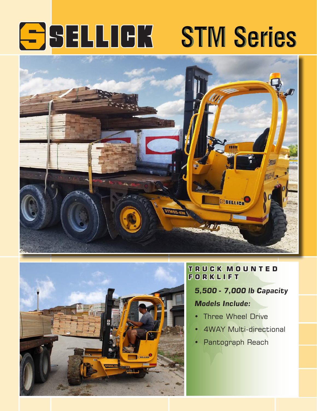# **SSELLIGK STM Series**





# **T R U C K M O U N T E D F O R K L I F T**

*5,500 - 7,000 lb Capacity*

## *Models Include:*

- Three Wheel Drive
- 4WAY Multi-directional
- Pantograph Reach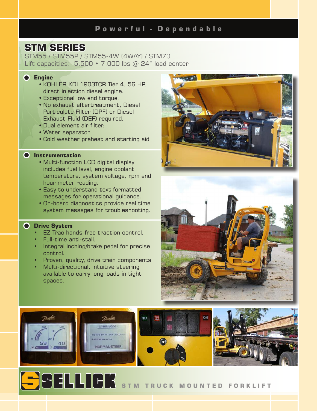# **STM SERIES**

STM55 / STM55P / STM55-4W (4WAY) / STM70 Lift capacities:  $5,500 \cdot 7,000$  lbs  $@ 24"$  load center

## **Engine**

- KOHLER KDI 1903TCR Tier 4, 56 HP, direct injection diesel engine.
- Exceptional low end torque.
- No exhaust aftertreatment, Diesel Particulate FIlter (DPF) or Diesel Exhaust Fluid (DEF) required.
- Dual element air filter.
- Water separator.
- Cold weather preheat and starting aid.

#### **Instrumentation**

- Multi-function LCD digital display includes fuel level, engine coolant temperature, system voltage, rpm and hour meter reading.
- Easy to understand text formatted messages for operational guidance.
- On-board diagnostics provide real time system messages for troubleshooting.

## **Drive System**

- **EZ Trac hands-free traction control.**
- Full-time anti-stall.
- Integral inching/brake pedal for precise control.
- Proven, quality, drive train components
- Multi-directional, intuitive steering available to carry long loads in tight spaces.





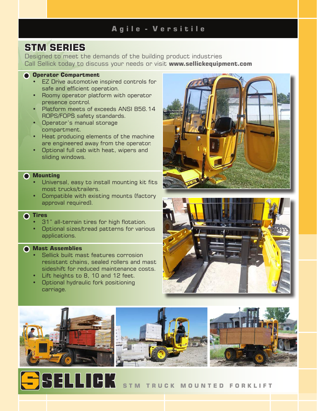# **A g i l e - V e r s i t i l e**

# **STM SERIES**

Designed to meet the demands of the building product industries Call Sellick today to discuss your needs or visit **www.sellickequipment.com**

## **Operator Compartment**

- EZ Drive automotive inspired controls for safe and efficient operation.
- Roomy operator platform with operator presence control.
- Platform meets of exceeds ANSI B56.14 ROPS/FOPS safety standards.
- Operator's manual storage compartment.
- Heat producing elements of the machine are engineered away from the operator.
- Optional full cab with heat, wipers and sliding windows.

## **Mounting**

- Universal, easy to install mounting kit fits most trucks/trailers.
- Compatible with existing mounts (factory approval required).

## **C** Tires

- 31" all-terrain tires for high flotation.
- Optional sizes/tread patterns for various applications.

## **Mast Assemblies**

- Sellick built mast features corrosion resistant chains, sealed rollers and mast sideshift for reduced maintenance costs.
- Lift heights to 8, 10 and 12 feet.
- Optional hydraulic fork positioning carriage.

**SSELLICK** 







## **S T M T R U C K M O U N T E D F O R K L I F T**